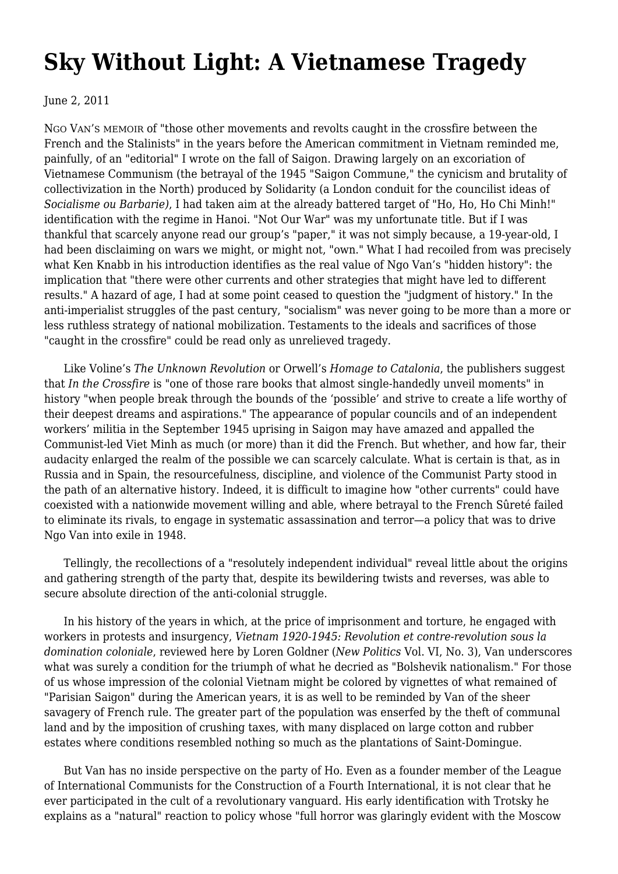# **[Sky Without Light: A Vietnamese Tragedy](https://newpol.org/review/sky-without-light-vietnamese-tragedy/)**

June 2, 2011

NGO VAN'S MEMOIR of "those other movements and revolts caught in the crossfire between the French and the Stalinists" in the years before the American commitment in Vietnam reminded me, painfully, of an "editorial" I wrote on the fall of Saigon. Drawing largely on an excoriation of Vietnamese Communism (the betrayal of the 1945 "Saigon Commune," the cynicism and brutality of collectivization in the North) produced by Solidarity (a London conduit for the councilist ideas of *[Socialisme ou Barbarie\)](http://en.wikipedia.org/wiki/Socialisme_ou_Barbarie)*, I had taken aim at the already battered target of "Ho, Ho, Ho Chi Minh!" identification with the regime in Hanoi. "Not Our War" was my unfortunate title. But if I was thankful that scarcely anyone read our group's "paper," it was not simply because, a 19-year-old, I had been disclaiming on wars we might, or might not, "own." What I had recoiled from was precisely what Ken Knabb in his introduction identifies as the real value of Ngo Van's "hidden history": the implication that "there were other currents and other strategies that might have led to different results." A hazard of age, I had at some point ceased to question the "judgment of history." In the anti-imperialist struggles of the past century, "socialism" was never going to be more than a more or less ruthless strategy of national mobilization. Testaments to the ideals and sacrifices of those "caught in the crossfire" could be read only as unrelieved tragedy.

 Like Voline's *The Unknown Revolution* or Orwell's *Homage to Catalonia*, the publishers suggest that *In the Crossfire* is "one of those rare books that almost single-handedly unveil moments" in history "when people break through the bounds of the 'possible' and strive to create a life worthy of their deepest dreams and aspirations." The appearance of popular councils and of an independent workers' militia in the September 1945 uprising in Saigon may have amazed and appalled the Communist-led Viet Minh as much (or more) than it did the French. But whether, and how far, their audacity enlarged the realm of the possible we can scarcely calculate. What is certain is that, as in Russia and in Spain, the resourcefulness, discipline, and violence of the Communist Party stood in the path of an alternative history. Indeed, it is difficult to imagine how "other currents" could have coexisted with a nationwide movement willing and able, where betrayal to the French Sûreté failed to eliminate its rivals, to engage in systematic assassination and terror—a policy that was to drive Ngo Van into exile in 1948.

 Tellingly, the recollections of a "resolutely independent individual" reveal little about the origins and gathering strength of the party that, despite its bewildering twists and reverses, was able to secure absolute direction of the anti-colonial struggle.

 In his history of the years in which, at the price of imprisonment and torture, he engaged with workers in protests and insurgency, *Vietnam 1920-1945: Revolution et contre-revolution sous la domination coloniale*, reviewed here by Loren Goldner (*New Politics* Vol. VI, No. 3), Van underscores what was surely a condition for the triumph of what he decried as "Bolshevik nationalism." For those of us whose impression of the colonial Vietnam might be colored by vignettes of what remained of "Parisian Saigon" during the American years, it is as well to be reminded by Van of the sheer savagery of French rule. The greater part of the population was enserfed by the theft of communal land and by the imposition of crushing taxes, with many displaced on large cotton and rubber estates where conditions resembled nothing so much as the plantations of Saint-Domingue.

 But Van has no inside perspective on the party of Ho. Even as a founder member of the League of International Communists for the Construction of a Fourth International, it is not clear that he ever participated in the cult of a revolutionary vanguard. His early identification with Trotsky he explains as a "natural" reaction to policy whose "full horror was glaringly evident with the Moscow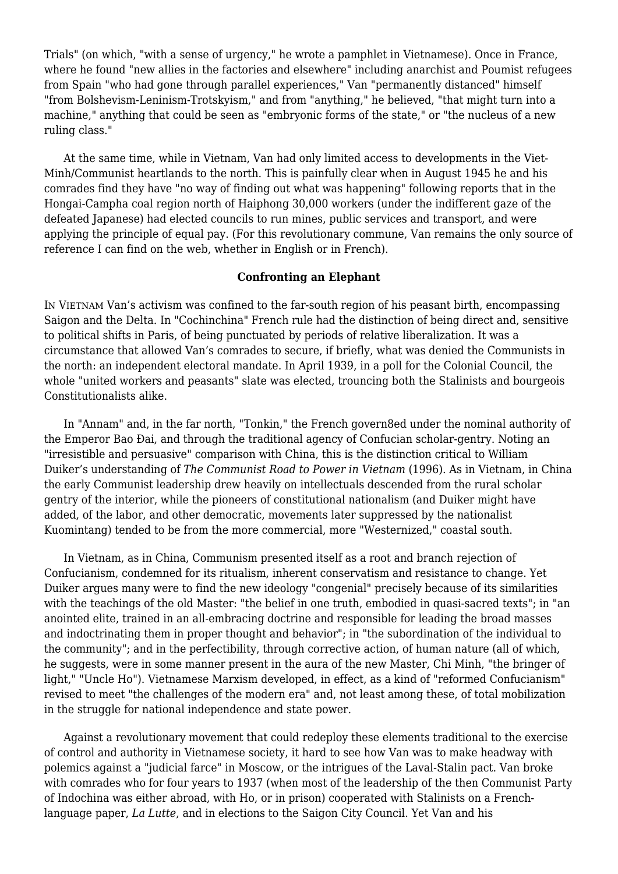Trials" (on which, "with a sense of urgency," he wrote a pamphlet in Vietnamese). Once in France, where he found "new allies in the factories and elsewhere" including anarchist and Poumist refugees from Spain "who had gone through parallel experiences," Van "permanently distanced" himself "from Bolshevism-Leninism-Trotskyism," and from "anything," he believed, "that might turn into a machine," anything that could be seen as "embryonic forms of the state," or "the nucleus of a new ruling class."

 At the same time, while in Vietnam, Van had only limited access to developments in the Viet-Minh/Communist heartlands to the north. This is painfully clear when in August 1945 he and his comrades find they have "no way of finding out what was happening" following reports that in the Hongai-Campha coal region north of Haiphong 30,000 workers (under the indifferent gaze of the defeated Japanese) had elected councils to run mines, public services and transport, and were applying the principle of equal pay. (For this revolutionary commune, Van remains the only source of reference I can find on the web, whether in English or in French).

### **Confronting an Elephant**

IN VIETNAM Van's activism was confined to the far-south region of his peasant birth, encompassing Saigon and the Delta. In "Cochinchina" French rule had the distinction of being direct and, sensitive to political shifts in Paris, of being punctuated by periods of relative liberalization. It was a circumstance that allowed Van's comrades to secure, if briefly, what was denied the Communists in the north: an independent electoral mandate. In April 1939, in a poll for the Colonial Council, the whole "united workers and peasants" slate was elected, trouncing both the Stalinists and bourgeois Constitutionalists alike.

 In "Annam" and, in the far north, "Tonkin," the French govern8ed under the nominal authority of the Emperor [Bao Ðai,](http://en.wikipedia.org/wiki/B%E1%BA%A3o_%C4%90%E1%BA%A1i) and through the traditional agency of Confucian scholar-gentry. Noting an "irresistible and persuasive" comparison with China, this is the distinction critical to William Duiker's understanding of *The Communist Road to Power in Vietnam* (1996). As in Vietnam, in China the early Communist leadership drew heavily on intellectuals descended from the rural scholar gentry of the interior, while the pioneers of constitutional nationalism (and Duiker might have added, of the labor, and other democratic, movements later suppressed by the nationalist Kuomintang) tended to be from the more commercial, more "Westernized," coastal south.

 In Vietnam, as in China, Communism presented itself as a root and branch rejection of Confucianism, condemned for its ritualism, inherent conservatism and resistance to change. Yet Duiker argues many were to find the new ideology "congenial" precisely because of its similarities with the teachings of the old Master: "the belief in one truth, embodied in quasi-sacred texts"; in "an anointed elite, trained in an all-embracing doctrine and responsible for leading the broad masses and indoctrinating them in proper thought and behavior"; in "the subordination of the individual to the community"; and in the perfectibility, through corrective action, of human nature (all of which, he suggests, were in some manner present in the aura of the new Master, Chi Minh, "the bringer of light," "Uncle Ho"). Vietnamese Marxism developed, in effect, as a kind of "reformed Confucianism" revised to meet "the challenges of the modern era" and, not least among these, of total mobilization in the struggle for national independence and state power.

 Against a revolutionary movement that could redeploy these elements traditional to the exercise of control and authority in Vietnamese society, it hard to see how Van was to make headway with polemics against a "judicial farce" in Moscow, or the intrigues of the Laval-Stalin pact. Van broke with comrades who for four years to 1937 (when most of the leadership of the then Communist Party of Indochina was either abroad, with Ho, or in prison) cooperated with Stalinists on a Frenchlanguage paper, *La Lutte*, and in elections to the Saigon City Council. Yet Van and his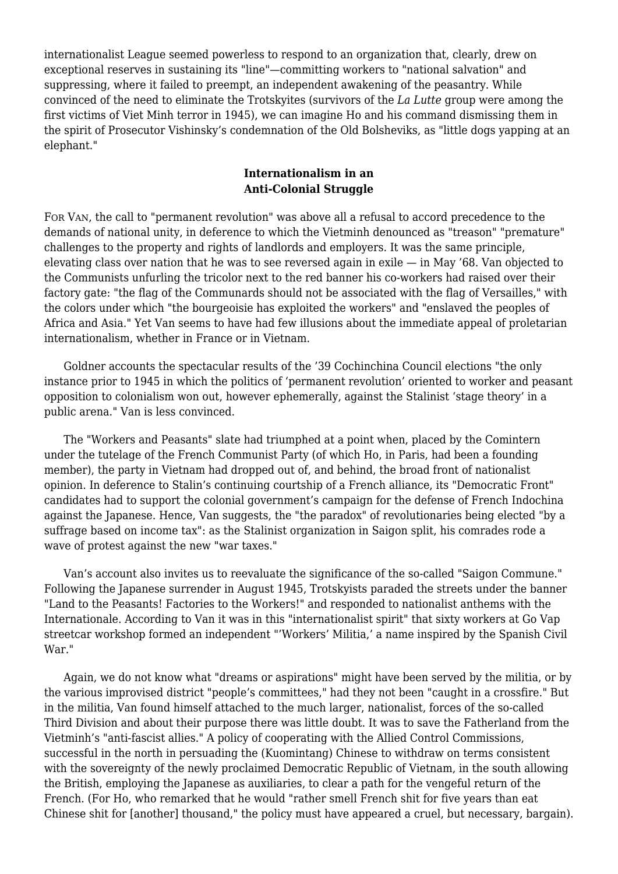internationalist League seemed powerless to respond to an organization that, clearly, drew on exceptional reserves in sustaining its "line"—committing workers to "national salvation" and suppressing, where it failed to preempt, an independent awakening of the peasantry. While convinced of the need to eliminate the Trotskyites (survivors of the *La Lutte* group were among the first victims of Viet Minh terror in 1945), we can imagine Ho and his command dismissing them in the spirit of Prosecutor Vishinsky's condemnation of the Old Bolsheviks, as "little dogs yapping at an elephant."

## **Internationalism in an Anti-Colonial Struggle**

FOR VAN, the call to "permanent revolution" was above all a refusal to accord precedence to the demands of national unity, in deference to which the Vietminh denounced as "treason" "premature" challenges to the property and rights of landlords and employers. It was the same principle, elevating class over nation that he was to see reversed again in exile — in May '68. Van objected to the Communists unfurling the tricolor next to the red banner his co-workers had raised over their factory gate: "the flag of the Communards should not be associated with the flag of Versailles," with the colors under which "the bourgeoisie has exploited the workers" and "enslaved the peoples of Africa and Asia." Yet Van seems to have had few illusions about the immediate appeal of proletarian internationalism, whether in France or in Vietnam.

 Goldner accounts the spectacular results of the '39 Cochinchina Council elections "the only instance prior to 1945 in which the politics of 'permanent revolution' oriented to worker and peasant opposition to colonialism won out, however ephemerally, against the Stalinist 'stage theory' in a public arena." Van is less convinced.

 The "Workers and Peasants" slate had triumphed at a point when, placed by the Comintern under the tutelage of the French Communist Party (of which Ho, in Paris, had been a founding member), the party in Vietnam had dropped out of, and behind, the broad front of nationalist opinion. In deference to Stalin's continuing courtship of a French alliance, its "Democratic Front" candidates had to support the colonial government's campaign for the defense of French Indochina against the Japanese. Hence, Van suggests, the "the paradox" of revolutionaries being elected "by a suffrage based on income tax": as the Stalinist organization in Saigon split, his comrades rode a wave of protest against the new "war taxes."

 Van's account also invites us to reevaluate the significance of the so-called "Saigon Commune." Following the Japanese surrender in August 1945, Trotskyists paraded the streets under the banner "Land to the Peasants! Factories to the Workers!" and responded to nationalist anthems with the Internationale. According to Van it was in this "internationalist spirit" that sixty workers at Go Vap streetcar workshop formed an independent "'Workers' Militia,' a name inspired by the Spanish Civil War."

 Again, we do not know what "dreams or aspirations" might have been served by the militia, or by the various improvised district "people's committees," had they not been "caught in a crossfire." But in the militia, Van found himself attached to the much larger, nationalist, forces of the so-called Third Division and about their purpose there was little doubt. It was to save the Fatherland from the Vietminh's "anti-fascist allies." A policy of cooperating with the Allied Control Commissions, successful in the north in persuading the (Kuomintang) Chinese to withdraw on terms consistent with the sovereignty of the newly proclaimed Democratic Republic of Vietnam, in the south allowing the British, employing the Japanese as auxiliaries, to clear a path for the vengeful return of the French. (For Ho, who remarked that he would "rather smell French shit for five years than eat Chinese shit for [another] thousand," the policy must have appeared a cruel, but necessary, bargain).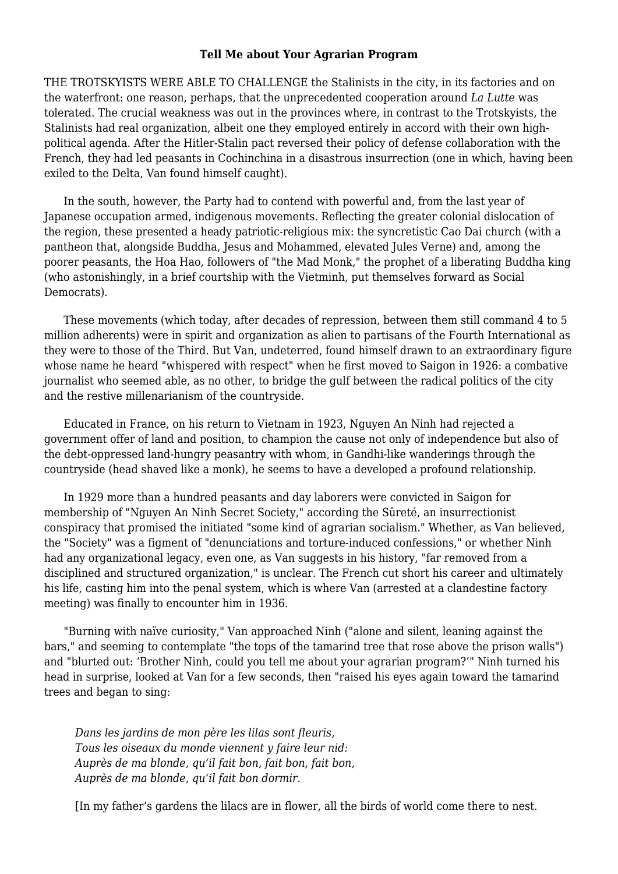### **Tell Me about Your Agrarian Program**

THE TROTSKYISTS WERE ABLE TO CHALLENGE the Stalinists in the city, in its factories and on the waterfront: one reason, perhaps, that the unprecedented cooperation around *La Lutte* was tolerated. The crucial weakness was out in the provinces where, in contrast to the Trotskyists, the Stalinists had real organization, albeit one they employed entirely in accord with their own highpolitical agenda. After the Hitler-Stalin pact reversed their policy of defense collaboration with the French, they had led peasants in Cochinchina in a disastrous insurrection (one in which, having been exiled to the Delta, Van found himself caught).

 In the south, however, the Party had to contend with powerful and, from the last year of Japanese occupation armed, indigenous movements. Reflecting the greater colonial dislocation of the region, these presented a heady patriotic-religious mix: the syncretistic Cao Dai church (with a pantheon that, alongside Buddha, Jesus and Mohammed, elevated Jules Verne) and, among the poorer peasants, the Hoa Hao, followers of "the Mad Monk," the prophet of a liberating Buddha king (who astonishingly, in a brief courtship with the Vietminh, put themselves forward as Social Democrats).

 These movements (which today, after decades of repression, between them still command 4 to 5 million adherents) were in spirit and organization as alien to partisans of the Fourth International as they were to those of the Third. But Van, undeterred, found himself drawn to an extraordinary figure whose name he heard "whispered with respect" when he first moved to Saigon in 1926: a combative journalist who seemed able, as no other, to bridge the gulf between the radical politics of the city and the restive millenarianism of the countryside.

 Educated in France, on his return to Vietnam in 1923, Nguyen An Ninh had rejected a government offer of land and position, to champion the cause not only of independence but also of the debt-oppressed land-hungry peasantry with whom, in Gandhi-like wanderings through the countryside (head shaved like a monk), he seems to have a developed a profound relationship.

 In 1929 more than a hundred peasants and day laborers were convicted in Saigon for membership of "Nguyen An Ninh Secret Society," according the Sûreté, an insurrectionist conspiracy that promised the initiated "some kind of agrarian socialism." Whether, as Van believed, the "Society" was a figment of "denunciations and torture-induced confessions," or whether Ninh had any organizational legacy, even one, as Van suggests in his history, "far removed from a disciplined and structured organization," is unclear. The French cut short his career and ultimately his life, casting him into the penal system, which is where Van (arrested at a clandestine factory meeting) was finally to encounter him in 1936.

 "Burning with naïve curiosity," Van approached Ninh ("alone and silent, leaning against the bars," and seeming to contemplate "the tops of the tamarind tree that rose above the prison walls") and "blurted out: 'Brother Ninh, could you tell me about your agrarian program?'" Ninh turned his head in surprise, looked at Van for a few seconds, then "raised his eyes again toward the tamarind trees and began to sing:

*Dans les jardins de mon père les lilas sont fleuris, Tous les oiseaux du monde viennent y faire leur nid: Auprès de ma blonde, qu'il fait bon, fait bon, fait bon, Auprès de ma blonde, qu'il fait bon dormir.*

[In my father's gardens the lilacs are in flower, all the birds of world come there to nest.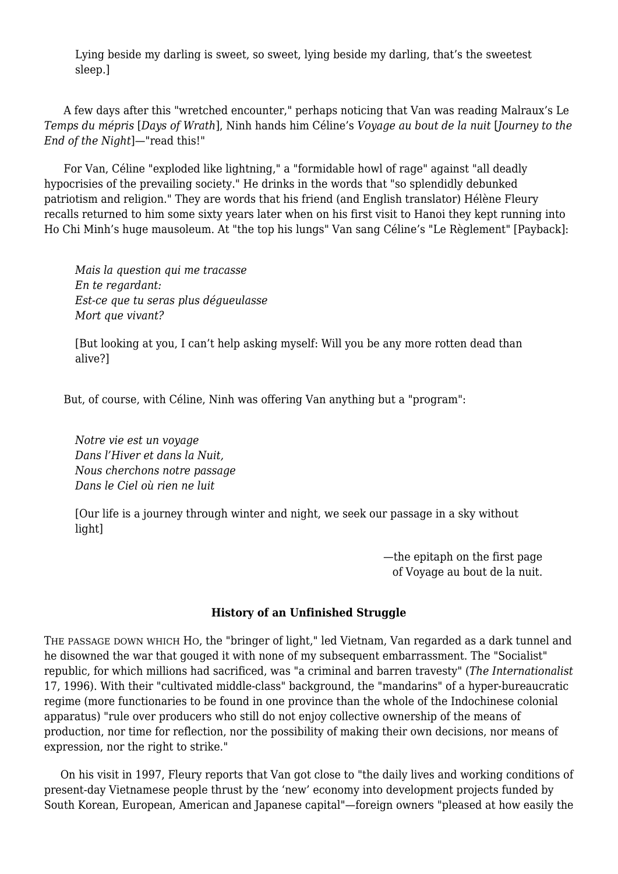Lying beside my darling is sweet, so sweet, lying beside my darling, that's the sweetest sleep.]

 A few days after this "wretched encounter," perhaps noticing that Van was reading Malraux's Le *Temps du mépris* [*Days of Wrath*], Ninh hands him Céline's *Voyage au bout de la nuit* [*Journey to the End of the Night*]—"read this!"

 For Van, Céline "exploded like lightning," a "formidable howl of rage" against "all deadly hypocrisies of the prevailing society." He drinks in the words that "so splendidly debunked patriotism and religion." They are words that his friend (and English translator) Hélène Fleury recalls returned to him some sixty years later when on his first visit to Hanoi they kept running into Ho Chi Minh's huge mausoleum. At "the top his lungs" Van sang Céline's "Le Règlement" [Payback]:

*Mais la question qui me tracasse En te regardant: Est-ce que tu seras plus dégueulasse Mort que vivant?*

[But looking at you, I can't help asking myself: Will you be any more rotten dead than alive?]

But, of course, with Céline, Ninh was offering Van anything but a "program":

*Notre vie est un voyage Dans l'Hiver et dans la Nuit, Nous cherchons notre passage Dans le Ciel où rien ne luit*

[Our life is a journey through winter and night, we seek our passage in a sky without light]

> —the epitaph on the first page of Voyage au bout de la nuit.

## **History of an Unfinished Struggle**

THE PASSAGE DOWN WHICH HO, the "bringer of light," led Vietnam, Van regarded as a dark tunnel and he disowned the war that gouged it with none of my subsequent embarrassment. The "Socialist" republic, for which millions had sacrificed, was "a criminal and barren travesty" (*The Internationalist* 17, 1996). With their "cultivated middle-class" background, the "mandarins" of a hyper-bureaucratic regime (more functionaries to be found in one province than the whole of the Indochinese colonial apparatus) "rule over producers who still do not enjoy collective ownership of the means of production, nor time for reflection, nor the possibility of making their own decisions, nor means of expression, nor the right to strike."

 On his visit in 1997, Fleury reports that Van got close to "the daily lives and working conditions of present-day Vietnamese people thrust by the 'new' economy into development projects funded by South Korean, European, American and Japanese capital"—foreign owners "pleased at how easily the